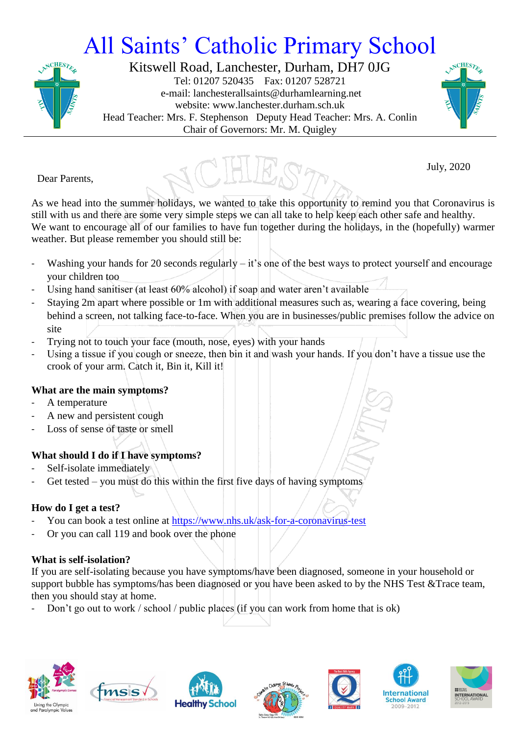# All Saints' Catholic Primary School



Kitswell Road, Lanchester, Durham, DH7 0JG Tel: 01207 520435 Fax: 01207 528721 e-mail: lanchesterallsaints@durhamlearning.net website: www.lanchester.durham.sch.uk Head Teacher: Mrs. F. Stephenson Deputy Head Teacher: Mrs. A. Conlin Chair of Governors: Mr. M. Quigley





July, 2020

Dear Parents,

As we head into the summer holidays, we wanted to take this opportunity to remind you that Coronavirus is still with us and there are some very simple steps we can all take to help keep each other safe and healthy. We want to encourage all of our families to have fun together during the holidays, in the (hopefully) warmer weather. But please remember you should still be:

- Washing your hands for 20 seconds regularly it's one of the best ways to protect yourself and encourage your children too
- Using hand sanitiser (at least 60% alcohol) if soap and water aren't available
- Staying 2m apart where possible or 1m with additional measures such as, wearing a face covering, being behind a screen, not talking face-to-face. When you are in businesses/public premises follow the advice on site
- Trying not to touch your face (mouth, nose, eyes) with your hands
- Using a tissue if you cough or sneeze, then bin it and wash your hands. If you don't have a tissue use the crook of your arm. Catch it, Bin it, Kill it!

### **What are the main symptoms?**

- A temperature
- A new and persistent cough
- Loss of sense of taste or smell

### **What should I do if I have symptoms?**

- Self-isolate immediately
- Get tested you must do this within the first five days of having symptoms

### **How do I get a test?**

- You can book a test online at<https://www.nhs.uk/ask-for-a-coronavirus-test>
- Or you can call 119 and book over the phone

### **What is self-isolation?**

If you are self-isolating because you have symptoms/have been diagnosed, someone in your household or support bubble has symptoms/has been diagnosed or you have been asked to by the NHS Test &Trace team, then you should stay at home.

Don't go out to work / school / public places (if you can work from home that is ok)